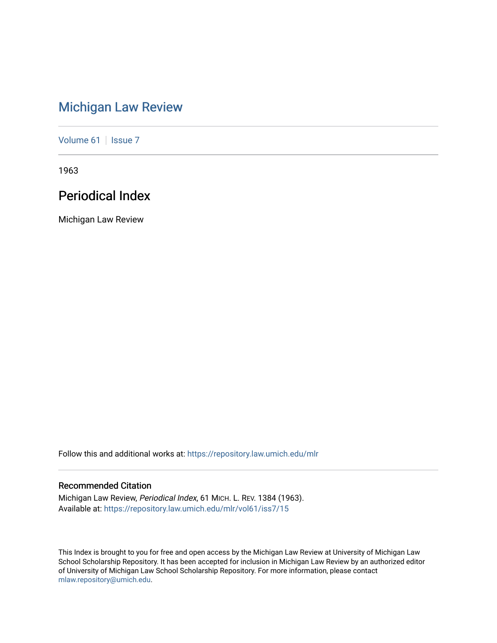# [Michigan Law Review](https://repository.law.umich.edu/mlr)

[Volume 61](https://repository.law.umich.edu/mlr/vol61) | [Issue 7](https://repository.law.umich.edu/mlr/vol61/iss7)

1963

# Periodical Index

Michigan Law Review

Follow this and additional works at: [https://repository.law.umich.edu/mlr](https://repository.law.umich.edu/mlr?utm_source=repository.law.umich.edu%2Fmlr%2Fvol61%2Fiss7%2F15&utm_medium=PDF&utm_campaign=PDFCoverPages) 

# Recommended Citation

Michigan Law Review, Periodical Index, 61 MICH. L. REV. 1384 (1963). Available at: [https://repository.law.umich.edu/mlr/vol61/iss7/15](https://repository.law.umich.edu/mlr/vol61/iss7/15?utm_source=repository.law.umich.edu%2Fmlr%2Fvol61%2Fiss7%2F15&utm_medium=PDF&utm_campaign=PDFCoverPages) 

This Index is brought to you for free and open access by the Michigan Law Review at University of Michigan Law School Scholarship Repository. It has been accepted for inclusion in Michigan Law Review by an authorized editor of University of Michigan Law School Scholarship Repository. For more information, please contact [mlaw.repository@umich.edu.](mailto:mlaw.repository@umich.edu)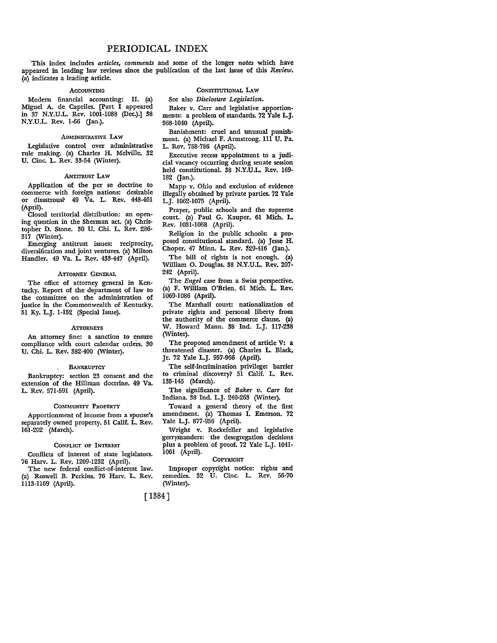·This index includes *articles, comments* and some of the longer *notes* which have appeared in leading law reviews since the publication of the last issue of this *Review.*  (a) indicates a leading article.

#### ACCOUNTING

Modem financial accounting: II. (a) Miguel A. de Capriles. [Part I appeared in 37 N.Y.U.L. Rev. 1001-1088 (Dec.).] 38 N.Y.U.L. Rev. 1-66 (Jan.).

#### ADMINISTRATIVE LAW

Legislative control over administrative rule making. (a) Charles H. Melville. 32 U. Cine. L. Rev. 33-54 (Winter).

#### ANTITRUST LAW

Application of the per se doctrine to commerce with foreign nations: desirable or disastrous? 49 Va. L. Rev. 448-461 (April).

Closed territorial distribution: an opening question in the Sherman act. (a) Christopher D. Stone. 30 U. Chi. L. Rev. 286-  $31\bar{7}$  (Winter).

Emerging antitrust issues: reciprocity, diversification and joint ventures. (a) Milton Handler. 49 Va. L. Rev. 433-447 (April).

#### ATTORNEY GENERAL

The office of attorney general in Kentucky. Report of the department of law to the committee on the administration of justice in the Commonwealth of Kentucky\_ 51 Ky. L.J. 1-152 (Special Issue).

#### **ATTORNEYS**

An attorney fine: a sanction to ensure compliance with court calendar orders. 30 U. Chi. L. Rev. 382-400 (Winter).

#### . BANKRUPTCY

Bankruptcy: section 23 consent and the extension of the Hillman doctrine. 49 Va. L. Rev. 571-591 (April).

#### COMMUNITY PROPERTY

Apportionment of income from a spouse's separately owned property. 51 Calif. L. Rev. 161-202 (March).

#### CONFLICT OF INTEREST

Conflicts of interest of state legislators. 76 Harv. L. Rev. 1209-1232 (April).

The new federal conflict-of-interest law. (a) Roswell B. Perkins. 76 Harv. L. Rev. 1113-1169 (April).

#### CONSTITUTIONAL **LAW**

See also *Disclosure Legislation.* 

Baker v. Carr and legislative apportionments: a problem of standards. 72 Yale L.J. 968-1040 (April).

Banishment: cruel and unusual punishment. (a) Michael F. Armstrong. lll U. Pa. L. Rev. 758-786 (April).

Executive recess appointment to a judicial vacancy occurring during senate session held constitutional. 38 N.Y.U.L. Rev. 169- 182 (Jan.).

Mapp v. Ohio and exclusion of evidence illegally obtained by private parties. 72 Yale L.J. 1062-1075 (April).

Prayer, public schools and the supreme court. (a) Paul G. Kauper. 61 Mich. L. Rev. 1031-1068 (April).

Religion in the public schools: a pro• posed constitutional standard. (a) Jesse H. Choper. 47 Minn. L. Rev. 329-416 (Jan.).

The bill of rights is not enough. (a) William 0. Douglas. 38 N.Y.U.L. Rev. 207- 242 (April).

The *Engel* case from a Swiss perspective. (a) F. William O'Brien. 61 Mich. L. Rev. 1069-1086 (April).

The Marshall court: nationalization of private rights and personal liberty from the authority of the commerce clause. (a) W. Howard Mann. 38 Ind. L.J. 117-238 (Winter).

The proposed amendment of article V: a threatened disaster. (a) Charles L, Black, Jr. 72 Yale L.J. 957-966 (April).

The self-incrimination privilege: barrier to criminal discovery? 51 Calif. L. Rev. 135-145 (March).

The significance of *Baker v. Carr* for Indiana. 38 Ind. L.J. 240-263 (Winter).

Toward a general theory of the first amendment. (a) Thomas I. Emerson. 72 Yale L.J. 877-956 (April).

Wright v. Rockefeller and legislative gerrymanders: the desegregation decisions plus a problem of proof. 72 Yale L.J. 1041- 1061 (April).

# **COPYRIGHT**

Improper copyright notice: rights and remedies. 32 U. Cine. L. Rev. 56-70 (Winter).

[ 1384]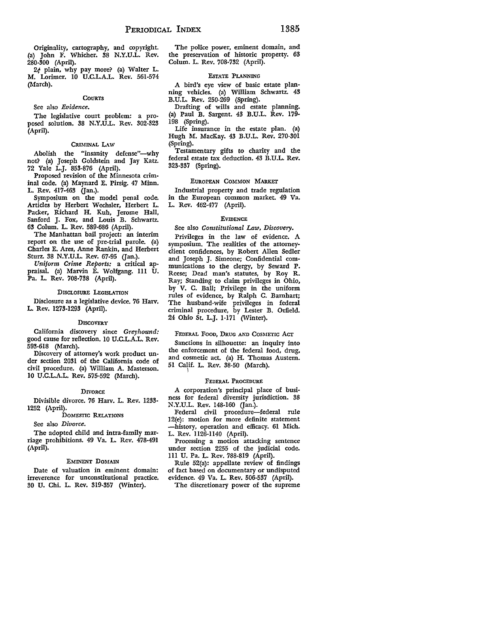Originality, cartography, and copyright. (a) John F. Whicher. 38 N.Y.U.L. Rev. 280-300 (April).

2¢ plain, why pay more? (a) Walter L. M. Lorimer. IO U.C.L.A.L. Rev. 561-574 (March).

#### **COURTS**

See also *Evidence.* 

The legislative court problem: a proposed solution. 38 N.Y.U.L. Rev. 302-323 (April).

#### CRIMINAL LAW

Abolish the "insanity defense"-why not? {a) Joseph Goldstein and Jay Katz. 72 Yale L.J. 853-876 (April).

Proposed revision of the Minnesota criminal code. {a) Maynard E. Pirsig. 47 Minn. L. Rev. 417-463 (Jan.).

Symposium on the model penal code. Articles by Herbert Wechsler, Herbert L. Packer, Richard H. Kuh, Jerome Hall, Sanford J. Fox, and Louis B. Schwartz. 63 Colum. L. Rev. 589-686 (April).

The Manhattan bail project: an interim report on the use of pre-trial parole. (a) Charles E. Ares, Anne Rankin, and Herbert Sturz. 38 N.Y.U.L. Rev. 67-95 (Jan.).

*Uniform Crime Reports:* a critical appraisal. (a) Marvin E. Wolfgang. 111 U. Pa. L. Rev. 708-738 (April).

#### DISCLOSURE LEGISLATION

Disclosure as a legislative device. 76 Harv. L. Rev. 1273-1293 (April).

#### **DISCOVERY**

California discovery since *Greyhound:*  good cause for reflection. IO U.C.L.A.L. Rev. 593-618 (March).

Discovery of attorney's work product under section 2031 of the California code of civil procedure. (a) William A. Masterson. IO U.C.L.A.L. Rev. 575-592 (March).

#### **DIVORCE**

Divisible divorce. 76 Harv. L. Rev. 1233- 1252 (April).

DOMESTIC RELATIONS

See also *Divorce.* 

The adopted child and intra-family marriage prohibitions. 49 Va. L. Rev. 478-491 (April).

#### EMINENT DOMAIN

Date of valuation in eminent domain: irreverence for unconstitutional practice. 30 U. Chi. L. Rev. 319-357 (Winter).

The police power, eminent domain, and the preservation of historic property. 63 Colum. L. Rev. 708-732 (April).

#### EsTATE PLANNING

A bird's eye view of basic estate planning vehicles. (a) William Schwartz. 43 B.U.L. Rev. 250-269 (Spring).

Drafting of wills and estate planning. (a) Paul B. Sargent. 43 B.U.L. Rev. 179- 198 (Spring).

Life insurance in the estate plan. (a) Hugh M. MacKay. 43 B.U.L. Rev. 270·301 (Spring).

Testamentary gifts to charity and the federal estate tax deduction. 43 B.U.L. Rev. 323-337 (Spring).

#### EUROPEAN COMMON MARKET

Industrial property and trade regulation in the European common market. 49 Va. L. Rev. 462-477 (April).

# EVIDENCE

See also *Constitutional Law, Discovery.* 

Privileges in the law of evidence. A symposium. The realities of the attorneyclient confidences, by Robert Allen Sedler and Joseph J. Simeone; Confidential communications to the clergy, by Seward **P.**  Reese; Dead man's statutes, by Roy R. Ray; Standing to claim privileges in Ohio, by V. C. Ball; Privilege in the uniform rules of evidence, by Ralph C. Barnhart; The husband-wife privileges in federal criminal procedure, by Lester B. Orfield. 24 Ohio St. L.J. 1-171 (Winter).

FEDERAL Fooo, DRUG AND COSMETIC Acr:

Sanctions in silhouette: an inquiry into the enforcement of the federal food, drug, and cosmetic act. (a) H. Thomas Austern. 51 Calif. L. Rev. 38-50 (March). \

### FEDERAL PROCEDURE

A corporation's principal place of business for federal diversity jurisdiction. 38 N.Y.U.L. Rev. 148-160 Gan.).

Federal civil procedure-federal rule 12(e): motion for more definite statement -history, operation and efficacy. 61 Mich. L. Rev. 1126-1140 (April).

Processing a motion attacking sentence under section 2255 of the judicial code. Ill U. Pa. L. Rev. 788-819 (April).

Rule 52(a): appellate review of findings of fact based on documentary or undisputed evidence. 49 Va. L. Rev. 506-537 (April).

The discretionary power of the supreme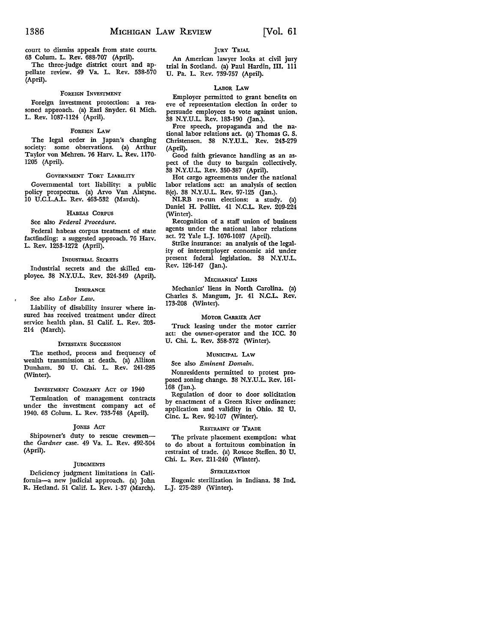court to dismiss appeals from state courts. 63 Colum. L. Rev. 688-707 (April).

The three-judge district court and appellate review. 49 Va. L. Rev. 538-570 (April).

#### FOREIGN INVESTMENT

Foreign investment protection: a reasoned approach. (a) Earl Snyder. 61 **Mich.**  L. Rev. 1087-1124 (April).

#### FOREIGN LAW

The legal order in Japan's changing society: some observations. (a) Arthur Taylor von Mehren. 76 Harv. L. Rev. 1170- 1205 (April).

### GOVERNMENT TORT LIABILITY

Governmental tort liability: a public policy prospectus. (a) Arvo Van Alstyne. 10 U.C.L.A.L. Rev. 463-532 (March).

#### HABEAS CORPUS

# See also *Federal Procedure.*

Federal habeas corpus treatment of state factfinding: a suggested approach. 76 Harv. L. Rev. 1253-1272 (April).

#### INDUSTRIAL SECRETS

Industrial secrets and the skilled employee. 38 N.Y.U.L. Rev. 324-349 (April).

#### INSURANCE

See also *Labor Law.* 

Liability of disability insurer where insured has received treatment under direct service health plan. 51 Calif. L. Rev. 203· 214 (March).

#### INTESTATE SUCCESSION

The method, process and frequency of wealth transmission at death. (a) Allison Dunham. 30 U. Chi. L. Rev. 241-285 (Winter).

#### INVESTMENT COMPANY ACT OF 1940

Termination of management contracts under the investment company act of 1940. 63 Colum. L. Rev. 733-748 (April).

#### JONES ACT

Shipowner's duty to rescue crewmenthe *Gardner* case. 49 Va. L. Rev. 492-504 (April).

#### **JUDGMENTS**

Deficiency judgment limitations in California-a new judicial approach. (a) John R. Hetland. 51 Calif. L. Rev. 1-37 (March).

# JURY TRIAL

An American lawyer looks at civil jury trial in Scotland. (a) Paul Hardin, III. lll U. Pa. L. Rev. 739-757 (April).

# LABOR LAW

Employer permitted to grant benefits on eve of representation election in order to persuade employees to vote against union. 38 N.Y.U.L. Rev. 183-190 (Jan.).

Free speech, propaganda and the na• tional labor relations act. (a) Thomas G. S. Christensen. 38 N.Y.U.L, Rev. 243-279 (April).

Good faith grievance handling as an aspect of the duty to bargain collectively. 38 N.Y.U.L. Rev. 350-387 (April).

Hot cargo agreements under the national labor relations act: an analysis of section 8(e). 38 N.Y.U.L. Rev. 97-125 (Jan.).

 $NLRB$  re-run elections: a study. Daniel H. Pollitt. 41 N.C.L. Rev. 209-224 (Winter).

Recognition of a staff union of business agents under the national labor relations act. 72 Yale L.J. 1076-1087 (April).

Strike insurance: an analysis of the legality of interemployer economic aid under present federal legislation. 38 N.Y.U.L. Rev. 126-147 (Jan.).

#### MECHANICS' LIENS

Mechanics' liens in North Carolina. (a) Charles S. Mangum, Jr. 41 N.C.L. Rev. 173-208 (Winter).

# MOTOR CARRIER ACT

Truck leasing under the motor carrier act: the owner-operator and the ICC. 30 U. Chi. L. Rev. 358-372 (Winter).

#### MUNICIPAL LAW

See also *Eminent Domain.* 

Nonresidents permitted to protest proposed zoning change. 38 N.Y.U.L. Rev. 161- 168 (Jan.).

Regulation of door to door solicitation by enactment of a Green River ordinance: application and validity in Ohio. 32 U. Cine. L. Rev. 92-107 (Winter).

#### RESTRAINT OF TRADE

The private placement exemption: what to do about a fortuitous combination in restraint of trade. (a) Roscoe Steffen. 30 U. Chi. L. Rev. 2ll-240 (Winter).

#### STERILIZATION

Eugenic sterilization in Indiana. 38 Ind. L.J. 275-289 (Winter).